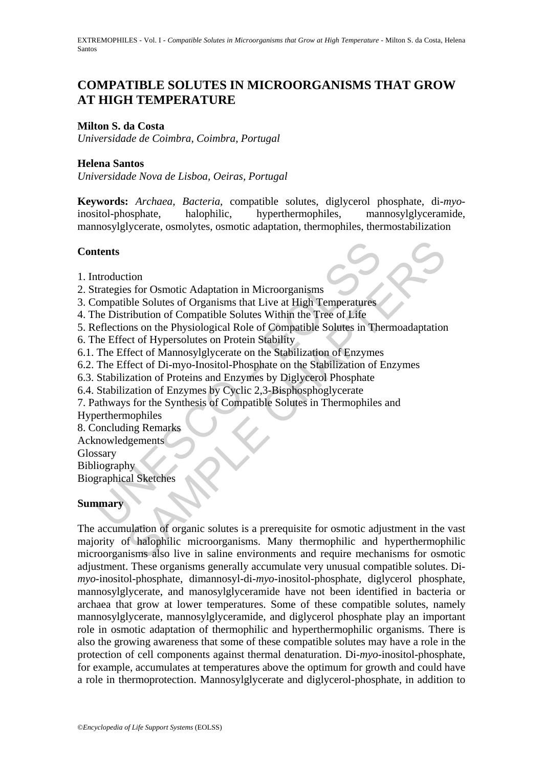## **COMPATIBLE SOLUTES IN MICROORGANISMS THAT GROW AT HIGH TEMPERATURE**

#### **Milton S. da Costa**

*Universidade de Coimbra, Coimbra, Portugal* 

#### **Helena Santos**

*Universidade Nova de Lisboa, Oeiras, Portugal* 

**Keywords:** *Archaea*, *Bacteria*, compatible solutes, diglycerol phosphate, di-*myo*inositol-phosphate, halophilic, hyperthermophiles, mannosylglyceramide, mannosylglycerate, osmolytes, osmotic adaptation, thermophiles, thermostabilization

#### **Contents**

- 1. Introduction
- 2. Strategies for Osmotic Adaptation in Microorganisms
- 3. Compatible Solutes of Organisms that Live at High Temperatures
- 4. The Distribution of Compatible Solutes Within the Tree of Life
- 5. Reflections on the Physiological Role of Compatible Solutes in Thermoadaptation
- 6. The Effect of Hypersolutes on Protein Stability
- 6.1. The Effect of Mannosylglycerate on the Stabilization of Enzymes
- The Material State of Comparison<br>
tradegies for Osmotic Adaptation in Microorganisms<br>
compatible Solutes of Organisms that Live at High Temperatures<br>
he Distribution of Compatible Solutes Within the Tree of Life<br>
effection 6.2. The Effect of Di-myo-Inositol-Phosphate on the Stabilization of Enzymes
- 6.3. Stabilization of Proteins and Enzymes by Diglycerol Phosphate
- 6.4. Stabilization of Enzymes by Cyclic 2,3-Bisphosphoglycerate
- 7. Pathways for the Synthesis of Compatible Solutes in Thermophiles and
- Hyperthermophiles
- 8. Concluding Remarks
- Acknowledgements
- Glossary

Bibliography

Biographical Sketches

## **Summary**

tion<br>
Se for Osmotic Adaptation in Microorganisms<br>
Se for Osmotic Adaptation in Microorganisms<br>
The Solutes of Organisms that Live at High Temperatures<br>
Theoris of Hypersolutes on Protein Stability<br>
There of Life Chapter S The accumulation of organic solutes is a prerequisite for osmotic adjustment in the vast majority of halophilic microorganisms. Many thermophilic and hyperthermophilic microorganisms also live in saline environments and require mechanisms for osmotic adjustment. These organisms generally accumulate very unusual compatible solutes. Di*myo*-inositol-phosphate, dimannosyl-di-*myo*-inositol-phosphate, diglycerol phosphate, mannosylglycerate, and manosylglyceramide have not been identified in bacteria or archaea that grow at lower temperatures. Some of these compatible solutes, namely mannosylglycerate, mannosylglyceramide, and diglycerol phosphate play an important role in osmotic adaptation of thermophilic and hyperthermophilic organisms. There is also the growing awareness that some of these compatible solutes may have a role in the protection of cell components against thermal denaturation. Di-*myo*-inositol-phosphate, for example, accumulates at temperatures above the optimum for growth and could have a role in thermoprotection. Mannosylglycerate and diglycerol-phosphate, in addition to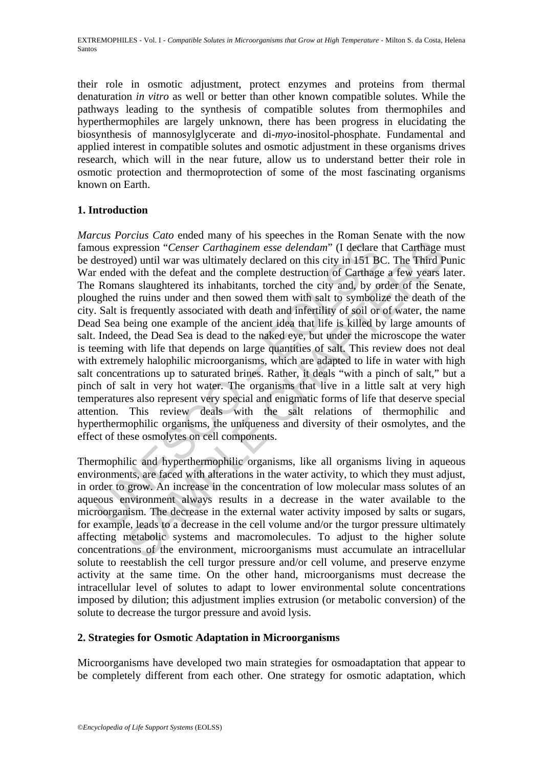their role in osmotic adjustment, protect enzymes and proteins from thermal denaturation *in vitro* as well or better than other known compatible solutes. While the pathways leading to the synthesis of compatible solutes from thermophiles and hyperthermophiles are largely unknown, there has been progress in elucidating the biosynthesis of mannosylglycerate and di-*myo*-inositol-phosphate. Fundamental and applied interest in compatible solutes and osmotic adjustment in these organisms drives research, which will in the near future, allow us to understand better their role in osmotic protection and thermoprotection of some of the most fascinating organisms known on Earth.

## **1. Introduction**

ous expression "*Censer Carthaginem esse delendam*" (I declare lestroyed) until war was ultimately declared on this city in 151 BC ended with the defeat and the complete destruction of Carthage Romans slaughtered its inhab by until war was ultimately declared this city in 151 BC. The Third geolynom "Censer Carthaginem esse delendam" (I declare that Carthage a few years 1<br>clusted on this city in 151 BC. The Third P with the defect and the com *Marcus Porcius Cato* ended many of his speeches in the Roman Senate with the now famous expression "*Censer Carthaginem esse delendam*" (I declare that Carthage must be destroyed) until war was ultimately declared on this city in 151 BC. The Third Punic War ended with the defeat and the complete destruction of Carthage a few years later. The Romans slaughtered its inhabitants, torched the city and, by order of the Senate, ploughed the ruins under and then sowed them with salt to symbolize the death of the city. Salt is frequently associated with death and infertility of soil or of water, the name Dead Sea being one example of the ancient idea that life is killed by large amounts of salt. Indeed, the Dead Sea is dead to the naked eye, but under the microscope the water is teeming with life that depends on large quantities of salt. This review does not deal with extremely halophilic microorganisms, which are adapted to life in water with high salt concentrations up to saturated brines. Rather, it deals "with a pinch of salt," but a pinch of salt in very hot water. The organisms that live in a little salt at very high temperatures also represent very special and enigmatic forms of life that deserve special attention. This review deals with the salt relations of thermophilic and hyperthermophilic organisms, the uniqueness and diversity of their osmolytes, and the effect of these osmolytes on cell components.

Thermophilic and hyperthermophilic organisms, like all organisms living in aqueous environments, are faced with alterations in the water activity, to which they must adjust, in order to grow. An increase in the concentration of low molecular mass solutes of an aqueous environment always results in a decrease in the water available to the microorganism. The decrease in the external water activity imposed by salts or sugars, for example, leads to a decrease in the cell volume and/or the turgor pressure ultimately affecting metabolic systems and macromolecules. To adjust to the higher solute concentrations of the environment, microorganisms must accumulate an intracellular solute to reestablish the cell turgor pressure and/or cell volume, and preserve enzyme activity at the same time. On the other hand, microorganisms must decrease the intracellular level of solutes to adapt to lower environmental solute concentrations imposed by dilution; this adjustment implies extrusion (or metabolic conversion) of the solute to decrease the turgor pressure and avoid lysis.

## **2. Strategies for Osmotic Adaptation in Microorganisms**

Microorganisms have developed two main strategies for osmoadaptation that appear to be completely different from each other. One strategy for osmotic adaptation, which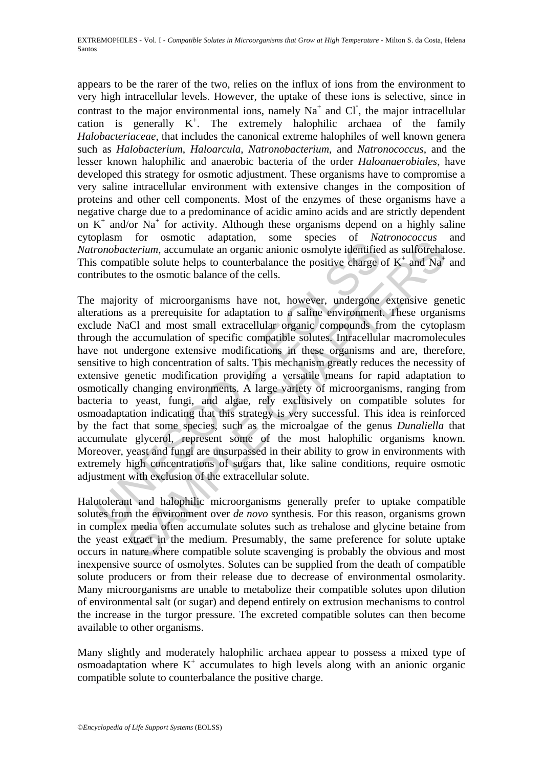appears to be the rarer of the two, relies on the influx of ions from the environment to very high intracellular levels. However, the uptake of these ions is selective, since in contrast to the major environmental ions, namely  $Na<sup>+</sup>$  and Cl, the major intracellular cation is generally  $K^+$ . The extremely halophilic archaea of the family *Halobacteriaceae*, that includes the canonical extreme halophiles of well known genera such as *Halobacterium*, *Haloarcula*, *Natronobacterium*, and *Natronococcus*, and the lesser known halophilic and anaerobic bacteria of the order *Haloanaerobiales*, have developed this strategy for osmotic adjustment. These organisms have to compromise a very saline intracellular environment with extensive changes in the composition of proteins and other cell components. Most of the enzymes of these organisms have a negative charge due to a predominance of acidic amino acids and are strictly dependent on  $K^+$  and/or  $Na^+$  for activity. Although these organisms depend on a highly saline cytoplasm for osmotic adaptation, some species of *Natronococcus* and *Natronobacterium*, accumulate an organic anionic osmolyte identified as sulfotrehalose. This compatible solute helps to counterbalance the positive charge of  $K^+$  and  $Na^+$  and contributes to the osmotic balance of the cells.

Frame Tot Consider and organic anionic osmolyte identifies<br>compolaterium, accumulate an organic anionic osmolyte identifies<br>compatible solute helps to counterbalance the positive charge e<br>rributes to the osmotic balance of For consider a deptation, some species or *Nationalistical* as sufforehable solute helps to counterbalance the positive charge of K<sup>-</sup> and Na<sup>+</sup> to the osmotic balance of the cells.<br>
ity of microorganisms have not, howeve The majority of microorganisms have not, however, undergone extensive genetic alterations as a prerequisite for adaptation to a saline environment. These organisms exclude NaCl and most small extracellular organic compounds from the cytoplasm through the accumulation of specific compatible solutes. Intracellular macromolecules have not undergone extensive modifications in these organisms and are, therefore, sensitive to high concentration of salts. This mechanism greatly reduces the necessity of extensive genetic modification providing a versatile means for rapid adaptation to osmotically changing environments. A large variety of microorganisms, ranging from bacteria to yeast, fungi, and algae, rely exclusively on compatible solutes for osmoadaptation indicating that this strategy is very successful. This idea is reinforced by the fact that some species, such as the microalgae of the genus *Dunaliella* that accumulate glycerol, represent some of the most halophilic organisms known. Moreover, yeast and fungi are unsurpassed in their ability to grow in environments with extremely high concentrations of sugars that, like saline conditions, require osmotic adjustment with exclusion of the extracellular solute.

Halotolerant and halophilic microorganisms generally prefer to uptake compatible solutes from the environment over *de novo* synthesis. For this reason, organisms grown in complex media often accumulate solutes such as trehalose and glycine betaine from the yeast extract in the medium. Presumably, the same preference for solute uptake occurs in nature where compatible solute scavenging is probably the obvious and most inexpensive source of osmolytes. Solutes can be supplied from the death of compatible solute producers or from their release due to decrease of environmental osmolarity. Many microorganisms are unable to metabolize their compatible solutes upon dilution of environmental salt (or sugar) and depend entirely on extrusion mechanisms to control the increase in the turgor pressure. The excreted compatible solutes can then become available to other organisms.

Many slightly and moderately halophilic archaea appear to possess a mixed type of  $osmoadaptation$  where  $K^+$  accumulates to high levels along with an anionic organic compatible solute to counterbalance the positive charge.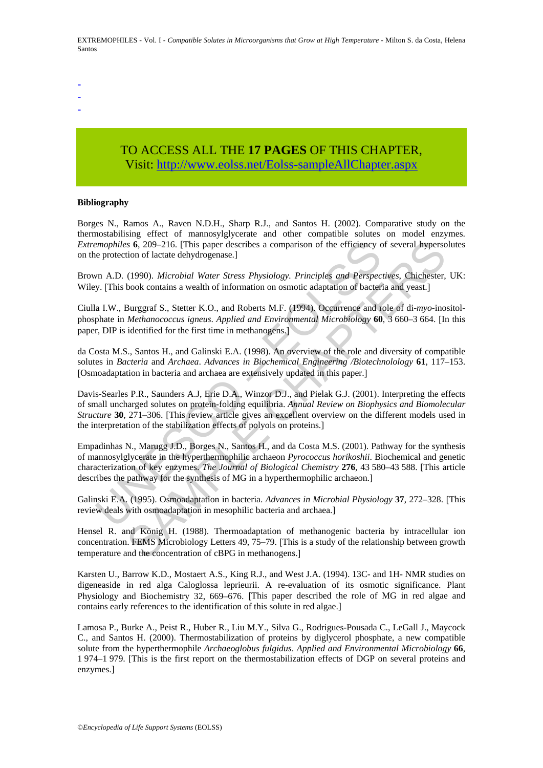- -
- -

# TO ACCESS ALL THE **17 PAGES** OF THIS CHAPTER, Visit[: http://www.eolss.net/Eolss-sampleAllChapter.aspx](https://www.eolss.net/ebooklib/sc_cart.aspx?File=E6-73-02-05)

#### **Bibliography**

Borges N., Ramos A., Raven N.D.H., Sharp R.J., and Santos H. (2002). Comparative study on the thermostabilising effect of mannosylglycerate and other compatible solutes on model enzymes. *Extremophiles* **6**, 209–216. [This paper describes a comparison of the efficiency of several hypersolutes on the protection of lactate dehydrogenase.]

Brown A.D. (1990). *Microbial Water Stress Physiology. Principles and Perspectives*, Chichester, UK: Wiley. [This book contains a wealth of information on osmotic adaptation of bacteria and yeast.]

Ciulla I.W., Burggraf S., Stetter K.O., and Roberts M.F. (1994). Occurrence and role of di-*myo*-inositolphosphate in *Methanococcus igneus*. *Applied and Environmental Microbiology* **60**, 3 660–3 664. [In this paper, DIP is identified for the first time in methanogens.]

da Costa M.S., Santos H., and Galinski E.A. (1998). An overview of the role and diversity of compatible solutes in *Bacteria* and *Archaea*. *Advances in Biochemical Engineering /Biotechnolology* **61**, 117–153. [Osmoadaptation in bacteria and archaea are extensively updated in this paper.]

Davis-Searles P.R., Saunders A.J, Erie D.A., Winzor D.J., and Pielak G.J. (2001). Interpreting the effects of small uncharged solutes on protein-folding equilibria. *Annual Review on Biophysics and Biomolecular Structure* **30**, 271–306. [This review article gives an excellent overview on the different models used in the interpretation of the stabilization effects of polyols on proteins.]

emophiles **6**, 209–216. [This paper describes a comparison of the efficiency c<br>e protection of lactate dehydrogenase.]<br>vn A.D. (1990). *Microbial Water Stress Physiology. Principles and Perspec*<br>y. [This book contains a we is  $6$ , 209–216. [This paper describes a comparison of the efficiency of several hyperscion of lactate dehydrogenase.]<br>
(1990). *Microbial Water Stress Physiology. Principles and Perspectives*, Chichester,<br>
book contains Empadinhas N., Marugg J.D., Borges N., Santos H., and da Costa M.S. (2001). Pathway for the synthesis of mannosylglycerate in the hyperthermophilic archaeon *Pyrococcus horikoshii*. Biochemical and genetic characterization of key enzymes. *The Journal of Biological Chemistry* **276**, 43 580–43 588. [This article describes the pathway for the synthesis of MG in a hyperthermophilic archaeon.]

Galinski E.A. (1995). Osmoadaptation in bacteria. *Advances in Microbial Physiology* **37**, 272–328. [This review deals with osmoadaptation in mesophilic bacteria and archaea.]

Hensel R. and König H. (1988). Thermoadaptation of methanogenic bacteria by intracellular ion concentration. FEMS Microbiology Letters 49, 75–79. [This is a study of the relationship between growth temperature and the concentration of cBPG in methanogens.]

Karsten U., Barrow K.D., Mostaert A.S., King R.J., and West J.A. (1994). 13C- and 1H- NMR studies on digeneaside in red alga Caloglossa leprieurii. A re-evaluation of its osmotic significance. Plant Physiology and Biochemistry 32, 669–676. [This paper described the role of MG in red algae and contains early references to the identification of this solute in red algae.]

Lamosa P., Burke A., Peist R., Huber R., Liu M.Y., Silva G., Rodrigues-Pousada C., LeGall J., Maycock C., and Santos H. (2000). Thermostabilization of proteins by diglycerol phosphate, a new compatible solute from the hyperthermophile *Archaeoglobus fulgidus*. *Applied and Environmental Microbiology* **66**, 1 974–1 979. [This is the first report on the thermostabilization effects of DGP on several proteins and enzymes.]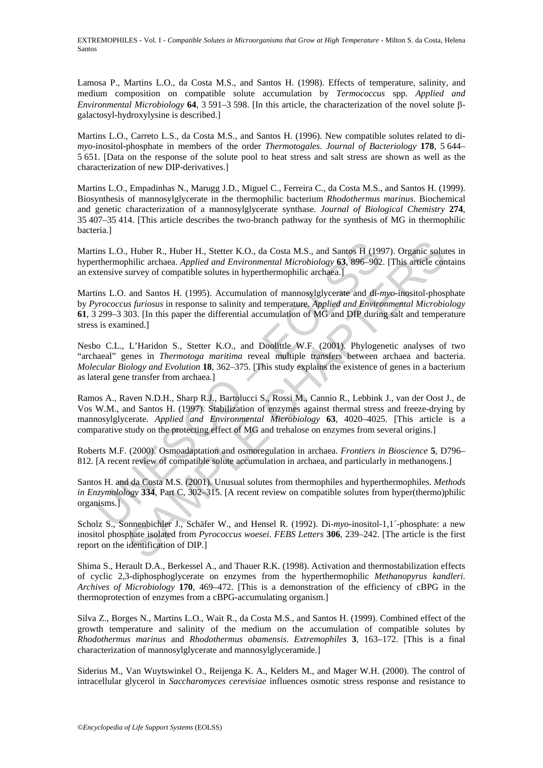Lamosa P., Martins L.O., da Costa M.S., and Santos H. (1998). Effects of temperature, salinity, and medium composition on compatible solute accumulation by *Termococcus* spp. *Applied and Environmental Microbiology* **64**, 3 591–3 598. [In this article, the characterization of the novel solute βgalactosyl-hydroxylysine is described.]

Martins L.O., Carreto L.S., da Costa M.S., and Santos H. (1996). New compatible solutes related to di*myo*-inositol-phosphate in members of the order *Thermotogales*. *Journal of Bacteriology* **178**, 5 644– 5 651. [Data on the response of the solute pool to heat stress and salt stress are shown as well as the characterization of new DIP-derivatives.]

Martins L.O., Empadinhas N., Marugg J.D., Miguel C., Ferreira C., da Costa M.S., and Santos H. (1999). Biosynthesis of mannosylglycerate in the thermophilic bacterium *Rhodothermus marinus*. Biochemical and genetic characterization of a mannosylglycerate synthase. *Journal of Biological Chemistry* **274**, 35 407–35 414. [This article describes the two-branch pathway for the synthesis of MG in thermophilic bacteria.]

Martins L.O., Huber R., Huber H., Stetter K.O., da Costa M.S., and Santos H (1997). Organic solutes in hyperthermophilic archaea. *Applied and Environmental Microbiology* **63**, 896–902. [This article contains an extensive survey of compatible solutes in hyperthermophilic archaea.]

ins L.O., Huber R., Huber H., Stetter K.O., da Costa M.S., and Santos H (199<br>rthermophilic archaea. *Applied and Environmental Microbiology* 63, 896-902<br>tensive survey of compatible solutes in hyperthermophilic archaea.]<br>i , Huber R., Huber H., Stetter K.O., da Costa M.S., and Santos H (1997). Organic solubilic acchaea. *Applied and Environmental Microbiology* **63**, 896–902. [This article consurvey of compatible solutes in hyperthermophilic Martins L.O. and Santos H. (1995). Accumulation of mannosylglycerate and di-*myo*-inositol-phosphate by *Pyrococcus furiosus* in response to salinity and temperature. *Applied and Environmental Microbiology* **61**, 3 299–3 303. [In this paper the differential accumulation of MG and DIP during salt and temperature stress is examined.]

Nesbo C.L., L'Haridon S., Stetter K.O., and Doolittle W.F. (2001). Phylogenetic analyses of two "archaeal" genes in *Thermotoga maritima* reveal multiple transfers between archaea and bacteria. *Molecular Biology and Evolution* **18**, 362–375. [This study explains the existence of genes in a bacterium as lateral gene transfer from archaea.]

Ramos A., Raven N.D.H., Sharp R.J., Bartolucci S., Rossi M., Cannio R., Lebbink J., van der Oost J., de Vos W.M., and Santos H. (1997). Stabilization of enzymes against thermal stress and freeze-drying by mannosylglycerate. *Applied and Environmental Microbiology* **63**, 4020–4025. [This article is a comparative study on the protecting effect of MG and trehalose on enzymes from several origins.]

Roberts M.F. (2000). Osmoadaptation and osmoregulation in archaea. *Frontiers in Bioscience* **5**, D796– 812. [A recent review of compatible solute accumulation in archaea, and particularly in methanogens.]

Santos H. and da Costa M.S. (2001). Unusual solutes from thermophiles and hyperthermophiles. *Methods in Enzymolology* **334**, Part C, 302–315. [A recent review on compatible solutes from hyper(thermo)philic organisms.]

Scholz S., Sonnenbichler J., Schäfer W., and Hensel R. (1992). Di-*myo*-inositol-1,1´-phosphate: a new inositol phosphate isolated from *Pyrococcus woesei*. *FEBS Letters* **306**, 239–242. [The article is the first report on the identification of DIP.]

Shima S., Herault D.A., Berkessel A., and Thauer R.K. (1998). Activation and thermostabilization effects of cyclic 2,3-diphosphoglycerate on enzymes from the hyperthermophilic *Methanopyrus kandleri*. *Archives of Microbiology* **170**, 469–472. [This is a demonstration of the efficiency of cBPG in the thermoprotection of enzymes from a cBPG-accumulating organism.]

Silva Z., Borges N., Martins L.O., Wait R., da Costa M.S., and Santos H. (1999). Combined effect of the growth temperature and salinity of the medium on the accumulation of compatible solutes by *Rhodothermus marinus* and *Rhodothermus obamensis*. *Extremophiles* **3**, 163–172. [This is a final characterization of mannosylglycerate and mannosylglyceramide.]

Siderius M., Van Wuytswinkel O., Reijenga K. A., Kelders M., and Mager W.H. (2000). The control of intracellular glycerol in *Saccharomyces cerevisiae* influences osmotic stress response and resistance to